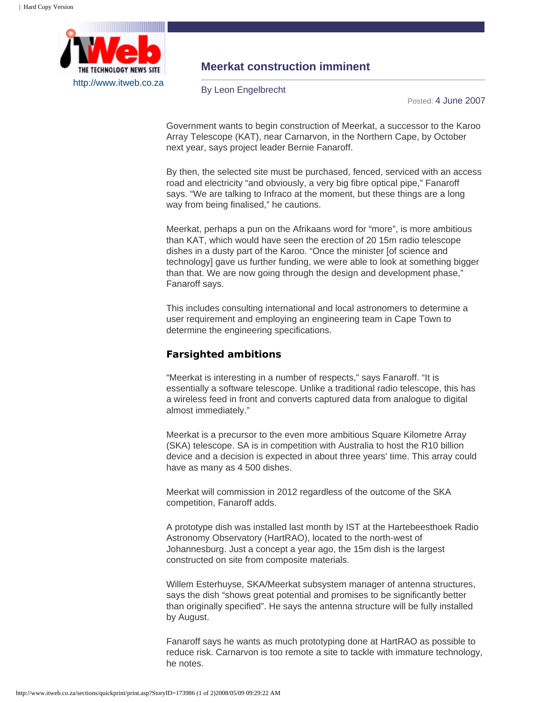

## **Meerkat construction imminent**

By Leon Engelbrecht

Posted: 4 June 2007

Government wants to begin construction of Meerkat, a successor to the Karoo Array Telescope (KAT), near Carnarvon, in the Northern Cape, by October next year, says project leader Bernie Fanaroff.

By then, the selected site must be purchased, fenced, serviced with an access road and electricity "and obviously, a very big fibre optical pipe," Fanaroff says. "We are talking to Infraco at the moment, but these things are a long way from being finalised," he cautions.

Meerkat, perhaps a pun on the Afrikaans word for "more", is more ambitious than KAT, which would have seen the erection of 20 15m radio telescope dishes in a dusty part of the Karoo. "Once the minister [of science and technology] gave us further funding, we were able to look at something bigger than that. We are now going through the design and development phase," Fanaroff says.

This includes consulting international and local astronomers to determine a user requirement and employing an engineering team in Cape Town to determine the engineering specifications.

## **Farsighted ambitions**

"Meerkat is interesting in a number of respects," says Fanaroff. "It is essentially a software telescope. Unlike a traditional radio telescope, this has a wireless feed in front and converts captured data from analogue to digital almost immediately."

Meerkat is a precursor to the even more ambitious Square Kilometre Array (SKA) telescope. SA is in competition with Australia to host the R10 billion device and a decision is expected in about three years' time. This array could have as many as 4 500 dishes.

Meerkat will commission in 2012 regardless of the outcome of the SKA competition, Fanaroff adds.

A prototype dish was installed last month by IST at the Hartebeesthoek Radio Astronomy Observatory (HartRAO), located to the north-west of Johannesburg. Just a concept a year ago, the 15m dish is the largest constructed on site from composite materials.

Willem Esterhuyse, SKA/Meerkat subsystem manager of antenna structures, says the dish "shows great potential and promises to be significantly better than originally specified". He says the antenna structure will be fully installed by August.

Fanaroff says he wants as much prototyping done at HartRAO as possible to reduce risk. Carnarvon is too remote a site to tackle with immature technology, he notes.